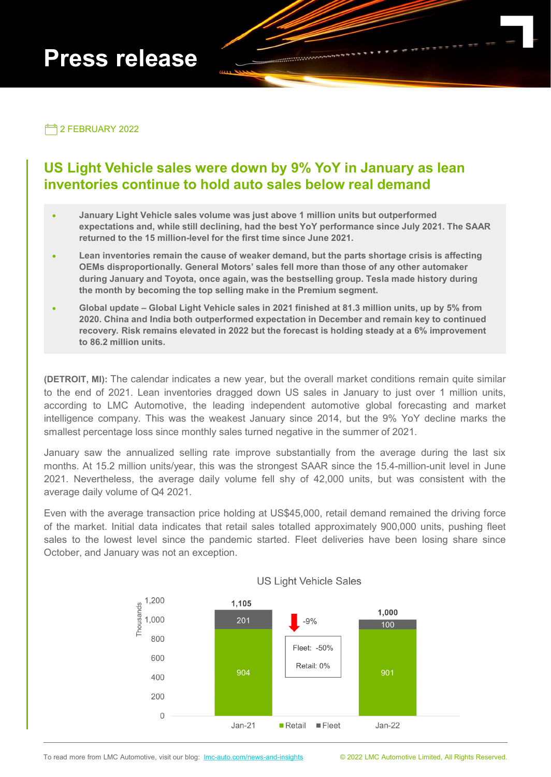# **Press release**

2 FEBRUARY 2022

## **US Light Vehicle sales were down by 9% YoY in January as lean inventories continue to hold auto sales below real demand**

- **January Light Vehicle sales volume was just above 1 million units but outperformed expectations and, while still declining, had the best YoY performance since July 2021. The SAAR returned to the 15 million-level for the first time since June 2021.**
- **Lean inventories remain the cause of weaker demand, but the parts shortage crisis is affecting OEMs disproportionally. General Motors' sales fell more than those of any other automaker during January and Toyota, once again, was the bestselling group. Tesla made history during the month by becoming the top selling make in the Premium segment.**
- **Global update – Global Light Vehicle sales in 2021 finished at 81.3 million units, up by 5% from 2020. China and India both outperformed expectation in December and remain key to continued recovery. Risk remains elevated in 2022 but the forecast is holding steady at a 6% improvement to 86.2 million units.**

**(DETROIT, MI):** The calendar indicates a new year, but the overall market conditions remain quite similar to the end of 2021. Lean inventories dragged down US sales in January to just over 1 million units, according to LMC Automotive, the leading independent automotive global forecasting and market intelligence company. This was the weakest January since 2014, but the 9% YoY decline marks the smallest percentage loss since monthly sales turned negative in the summer of 2021.

January saw the annualized selling rate improve substantially from the average during the last six months. At 15.2 million units/year, this was the strongest SAAR since the 15.4-million-unit level in June 2021. Nevertheless, the average daily volume fell shy of 42,000 units, but was consistent with the average daily volume of Q4 2021.

Even with the average transaction price holding at US\$45,000, retail demand remained the driving force of the market. Initial data indicates that retail sales totalled approximately 900,000 units, pushing fleet sales to the lowest level since the pandemic started. Fleet deliveries have been losing share since October, and January was not an exception.



#### **US Light Vehicle Sales**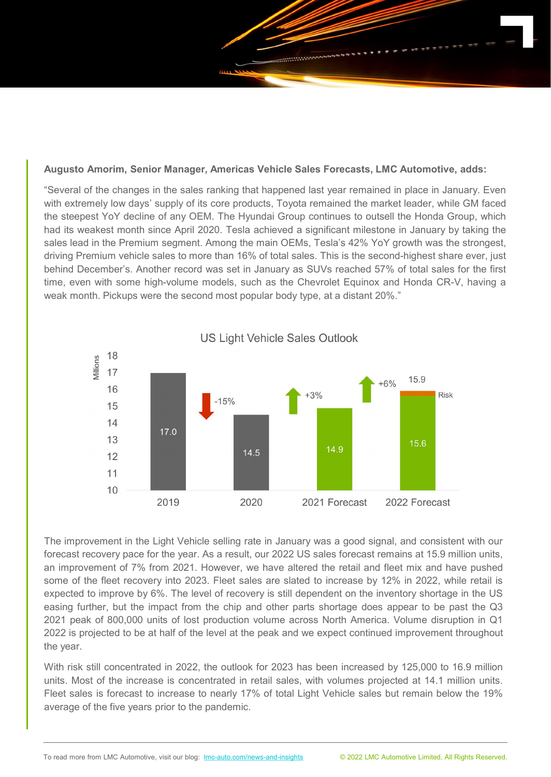

"Several of the changes in the sales ranking that happened last year remained in place in January. Even with extremely low days' supply of its core products, Toyota remained the market leader, while GM faced the steepest YoY decline of any OEM. The Hyundai Group continues to outsell the Honda Group, which had its weakest month since April 2020. Tesla achieved a significant milestone in January by taking the sales lead in the Premium segment. Among the main OEMs, Tesla's 42% YoY growth was the strongest, driving Premium vehicle sales to more than 16% of total sales. This is the second-highest share ever, just behind December's. Another record was set in January as SUVs reached 57% of total sales for the first time, even with some high-volume models, such as the Chevrolet Equinox and Honda CR-V, having a weak month. Pickups were the second most popular body type, at a distant 20%."



The improvement in the Light Vehicle selling rate in January was a good signal, and consistent with our forecast recovery pace for the year. As a result, our 2022 US sales forecast remains at 15.9 million units, an improvement of 7% from 2021. However, we have altered the retail and fleet mix and have pushed some of the fleet recovery into 2023. Fleet sales are slated to increase by 12% in 2022, while retail is expected to improve by 6%. The level of recovery is still dependent on the inventory shortage in the US easing further, but the impact from the chip and other parts shortage does appear to be past the Q3 2021 peak of 800,000 units of lost production volume across North America. Volume disruption in Q1 2022 is projected to be at half of the level at the peak and we expect continued improvement throughout the year.

With risk still concentrated in 2022, the outlook for 2023 has been increased by 125,000 to 16.9 million units. Most of the increase is concentrated in retail sales, with volumes projected at 14.1 million units. Fleet sales is forecast to increase to nearly 17% of total Light Vehicle sales but remain below the 19% average of the five years prior to the pandemic.